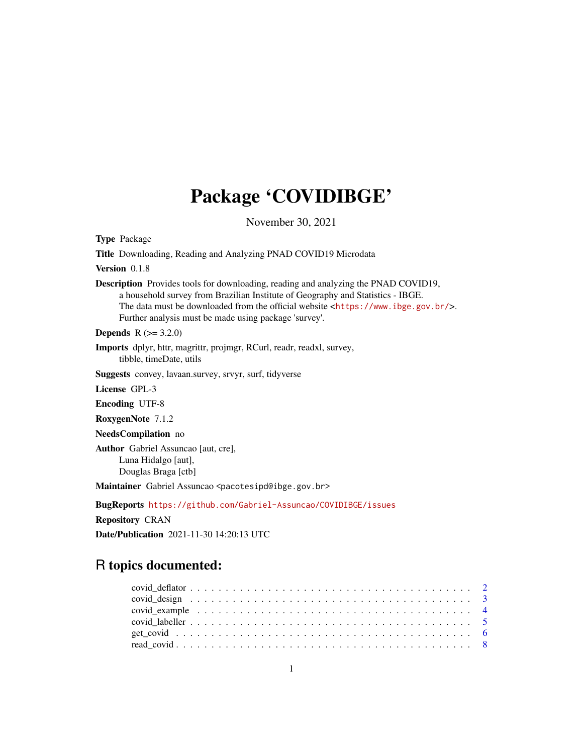# Package 'COVIDIBGE'

November 30, 2021

Type Package Title Downloading, Reading and Analyzing PNAD COVID19 Microdata Version 0.1.8 Description Provides tools for downloading, reading and analyzing the PNAD COVID19, a household survey from Brazilian Institute of Geography and Statistics - IBGE. The data must be downloaded from the official website <<https://www.ibge.gov.br/>>. Further analysis must be made using package 'survey'. **Depends**  $R (= 3.2.0)$ Imports dplyr, httr, magrittr, projmgr, RCurl, readr, readxl, survey, tibble, timeDate, utils Suggests convey, lavaan.survey, srvyr, surf, tidyverse License GPL-3 Encoding UTF-8 RoxygenNote 7.1.2 NeedsCompilation no Author Gabriel Assuncao [aut, cre], Luna Hidalgo [aut], Douglas Braga [ctb]

Maintainer Gabriel Assuncao <pacotesipd@ibge.gov.br>

BugReports <https://github.com/Gabriel-Assuncao/COVIDIBGE/issues>

Repository CRAN

Date/Publication 2021-11-30 14:20:13 UTC

## R topics documented: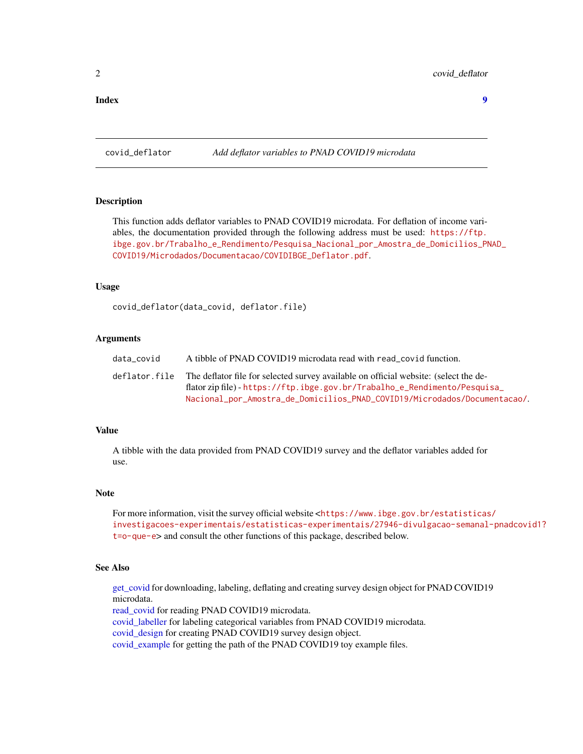#### <span id="page-1-0"></span>**Index** [9](#page-8-0)

<span id="page-1-1"></span>covid\_deflator *Add deflator variables to PNAD COVID19 microdata*

#### **Description**

This function adds deflator variables to PNAD COVID19 microdata. For deflation of income variables, the documentation provided through the following address must be used: [https://ftp.](https://ftp.ibge.gov.br/Trabalho_e_Rendimento/Pesquisa_Nacional_por_Amostra_de_Domicilios_PNAD_COVID19/Microdados/Documentacao/COVIDIBGE_Deflator.pdf) [ibge.gov.br/Trabalho\\_e\\_Rendimento/Pesquisa\\_Nacional\\_por\\_Amostra\\_de\\_Domicilios\\_PN](https://ftp.ibge.gov.br/Trabalho_e_Rendimento/Pesquisa_Nacional_por_Amostra_de_Domicilios_PNAD_COVID19/Microdados/Documentacao/COVIDIBGE_Deflator.pdf)AD\_ [COVID19/Microdados/Documentacao/COVIDIBGE\\_Deflator.pdf](https://ftp.ibge.gov.br/Trabalho_e_Rendimento/Pesquisa_Nacional_por_Amostra_de_Domicilios_PNAD_COVID19/Microdados/Documentacao/COVIDIBGE_Deflator.pdf).

#### Usage

covid\_deflator(data\_covid, deflator.file)

#### Arguments

| data covid    | A tibble of PNAD COVID19 microdata read with read_covid function.                                                                                                 |
|---------------|-------------------------------------------------------------------------------------------------------------------------------------------------------------------|
| deflator.file | The deflator file for selected survey available on official website: (select the de-<br>flator zip file) - https://ftp.ibge.gov.br/Trabalho_e_Rendimento/Pesquisa |
|               | Nacional_por_Amostra_de_Domicilios_PNAD_COVID19/Microdados/Documentacao/.                                                                                         |

#### Value

A tibble with the data provided from PNAD COVID19 survey and the deflator variables added for use.

#### Note

```
For more information, visit the survey official website <https://www.ibge.gov.br/estatisticas/
investigacoes-experimentais/estatisticas-experimentais/27946-divulgacao-semanal-pnadcovid1?
t=o-que-e> and consult the other functions of this package, described below.
```
#### See Also

[get\\_covid](#page-5-1) for downloading, labeling, deflating and creating survey design object for PNAD COVID19 microdata.

[read\\_covid](#page-7-1) for reading PNAD COVID19 microdata.

[covid\\_labeller](#page-4-1) for labeling categorical variables from PNAD COVID19 microdata.

[covid\\_design](#page-2-1) for creating PNAD COVID19 survey design object.

[covid\\_example](#page-3-1) for getting the path of the PNAD COVID19 toy example files.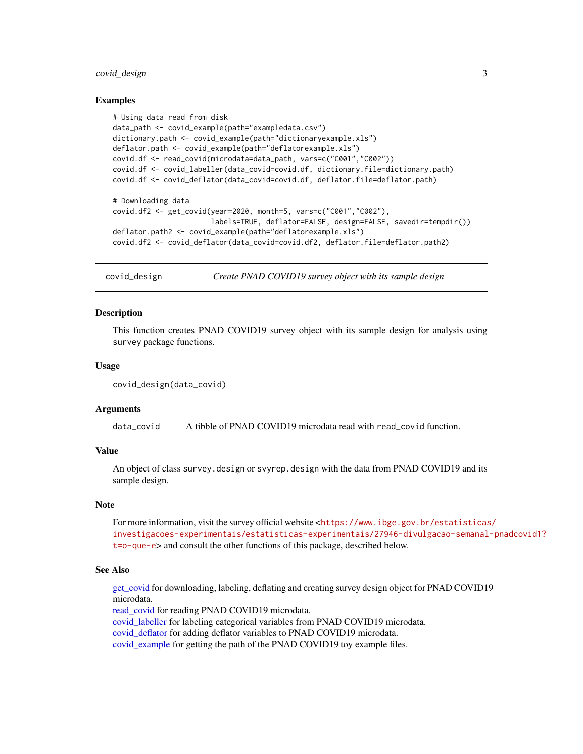#### <span id="page-2-0"></span>covid\_design 3

#### Examples

```
# Using data read from disk
data_path <- covid_example(path="exampledata.csv")
dictionary.path <- covid_example(path="dictionaryexample.xls")
deflator.path <- covid_example(path="deflatorexample.xls")
covid.df <- read_covid(microdata=data_path, vars=c("C001","C002"))
covid.df <- covid_labeller(data_covid=covid.df, dictionary.file=dictionary.path)
covid.df <- covid_deflator(data_covid=covid.df, deflator.file=deflator.path)
# Downloading data
covid.df2 <- get_covid(year=2020, month=5, vars=c("C001","C002"),
                       labels=TRUE, deflator=FALSE, design=FALSE, savedir=tempdir())
deflator.path2 <- covid_example(path="deflatorexample.xls")
covid.df2 <- covid_deflator(data_covid=covid.df2, deflator.file=deflator.path2)
```
<span id="page-2-1"></span>covid\_design *Create PNAD COVID19 survey object with its sample design*

#### Description

This function creates PNAD COVID19 survey object with its sample design for analysis using survey package functions.

#### Usage

```
covid_design(data_covid)
```
#### Arguments

data\_covid A tibble of PNAD COVID19 microdata read with read\_covid function.

#### Value

An object of class survey.design or svyrep.design with the data from PNAD COVID19 and its sample design.

#### **Note**

For more information, visit the survey official website <[https://www.ibge.gov.br/estatisticas](https://www.ibge.gov.br/estatisticas/investigacoes-experimentais/estatisticas-experimentais/27946-divulgacao-semanal-pnadcovid1?t=o-que-e)/ [investigacoes-experimentais/estatisticas-experimentais/27946-divulgacao-semanal](https://www.ibge.gov.br/estatisticas/investigacoes-experimentais/estatisticas-experimentais/27946-divulgacao-semanal-pnadcovid1?t=o-que-e)-pnadcovid1? [t=o-que-e](https://www.ibge.gov.br/estatisticas/investigacoes-experimentais/estatisticas-experimentais/27946-divulgacao-semanal-pnadcovid1?t=o-que-e)> and consult the other functions of this package, described below.

#### See Also

get covid for downloading, labeling, deflating and creating survey design object for PNAD COVID19 microdata.

[read\\_covid](#page-7-1) for reading PNAD COVID19 microdata.

[covid\\_labeller](#page-4-1) for labeling categorical variables from PNAD COVID19 microdata.

covid deflator for adding deflator variables to PNAD COVID19 microdata.

[covid\\_example](#page-3-1) for getting the path of the PNAD COVID19 toy example files.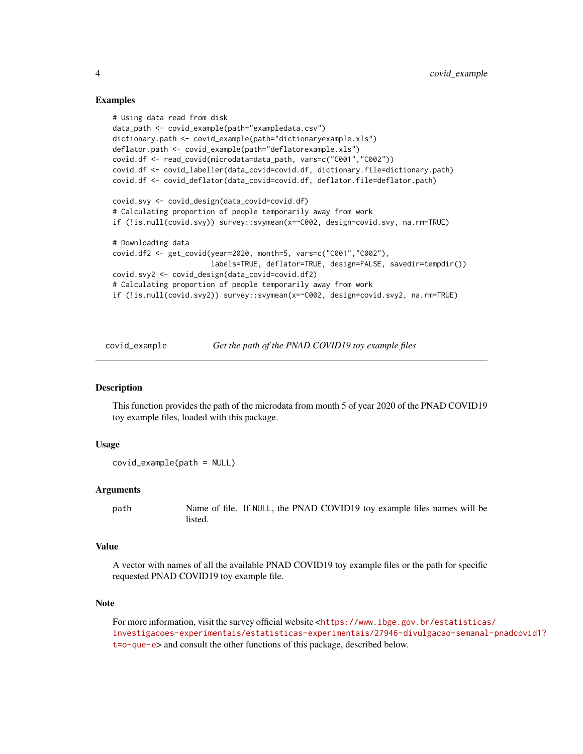#### Examples

```
# Using data read from disk
data_path <- covid_example(path="exampledata.csv")
dictionary.path <- covid_example(path="dictionaryexample.xls")
deflator.path <- covid_example(path="deflatorexample.xls")
covid.df <- read_covid(microdata=data_path, vars=c("C001","C002"))
covid.df <- covid_labeller(data_covid=covid.df, dictionary.file=dictionary.path)
covid.df <- covid_deflator(data_covid=covid.df, deflator.file=deflator.path)
covid.svy <- covid_design(data_covid=covid.df)
# Calculating proportion of people temporarily away from work
if (!is.null(covid.svy)) survey::svymean(x=~C002, design=covid.svy, na.rm=TRUE)
# Downloading data
covid.df2 <- get_covid(year=2020, month=5, vars=c("C001","C002"),
                       labels=TRUE, deflator=TRUE, design=FALSE, savedir=tempdir())
covid.svy2 <- covid_design(data_covid=covid.df2)
# Calculating proportion of people temporarily away from work
if (!is.null(covid.svy2)) survey::svymean(x=~C002, design=covid.svy2, na.rm=TRUE)
```
<span id="page-3-1"></span>covid\_example *Get the path of the PNAD COVID19 toy example files*

#### Description

This function provides the path of the microdata from month 5 of year 2020 of the PNAD COVID19 toy example files, loaded with this package.

#### Usage

```
covid_example(path = NULL)
```
#### Arguments

path Name of file. If NULL, the PNAD COVID19 toy example files names will be listed.

#### Value

A vector with names of all the available PNAD COVID19 toy example files or the path for specific requested PNAD COVID19 toy example file.

#### **Note**

For more information, visit the survey official website <[https://www.ibge.gov.br/estatisticas](https://www.ibge.gov.br/estatisticas/investigacoes-experimentais/estatisticas-experimentais/27946-divulgacao-semanal-pnadcovid1?t=o-que-e)/ [investigacoes-experimentais/estatisticas-experimentais/27946-divulgacao-semanal](https://www.ibge.gov.br/estatisticas/investigacoes-experimentais/estatisticas-experimentais/27946-divulgacao-semanal-pnadcovid1?t=o-que-e)-pnadcovid1? [t=o-que-e](https://www.ibge.gov.br/estatisticas/investigacoes-experimentais/estatisticas-experimentais/27946-divulgacao-semanal-pnadcovid1?t=o-que-e)> and consult the other functions of this package, described below.

<span id="page-3-0"></span>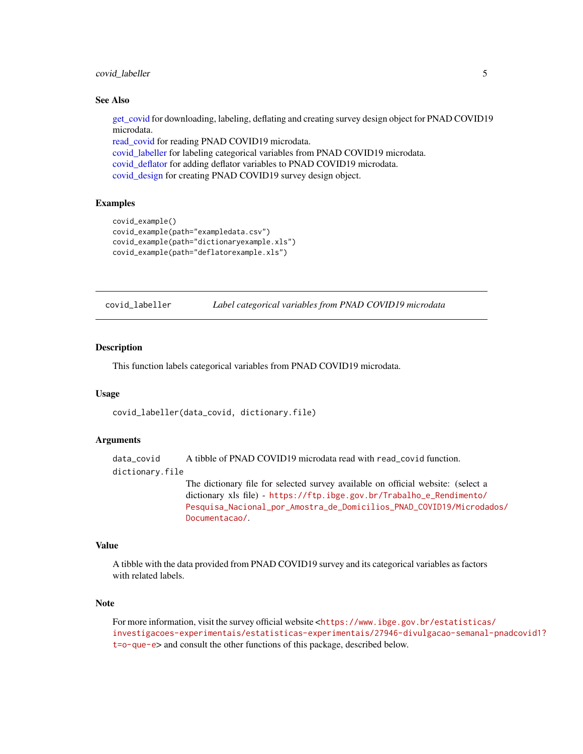#### <span id="page-4-0"></span>covid\_labeller 5

#### See Also

[get\\_covid](#page-5-1) for downloading, labeling, deflating and creating survey design object for PNAD COVID19 microdata.

[read\\_covid](#page-7-1) for reading PNAD COVID19 microdata. [covid\\_labeller](#page-4-1) for labeling categorical variables from PNAD COVID19 microdata. [covid\\_deflator](#page-1-1) for adding deflator variables to PNAD COVID19 microdata. [covid\\_design](#page-2-1) for creating PNAD COVID19 survey design object.

#### Examples

```
covid_example()
covid_example(path="exampledata.csv")
covid_example(path="dictionaryexample.xls")
covid_example(path="deflatorexample.xls")
```
<span id="page-4-1"></span>covid\_labeller *Label categorical variables from PNAD COVID19 microdata*

#### Description

This function labels categorical variables from PNAD COVID19 microdata.

#### Usage

covid\_labeller(data\_covid, dictionary.file)

#### Arguments

data\_covid A tibble of PNAD COVID19 microdata read with read\_covid function. dictionary.file The dictionary file for selected survey available on official website: (select a

dictionary xls file) - [https://ftp.ibge.gov.br/Trabalho\\_e\\_Rendimento/](https://ftp.ibge.gov.br/Trabalho_e_Rendimento/Pesquisa_Nacional_por_Amostra_de_Domicilios_PNAD_COVID19/Microdados/Documentacao/) [Pesquisa\\_Nacional\\_por\\_Amostra\\_de\\_Domicilios\\_PNAD\\_COVID19/Microda](https://ftp.ibge.gov.br/Trabalho_e_Rendimento/Pesquisa_Nacional_por_Amostra_de_Domicilios_PNAD_COVID19/Microdados/Documentacao/)dos/ [Documentacao/](https://ftp.ibge.gov.br/Trabalho_e_Rendimento/Pesquisa_Nacional_por_Amostra_de_Domicilios_PNAD_COVID19/Microdados/Documentacao/).

#### Value

A tibble with the data provided from PNAD COVID19 survey and its categorical variables as factors with related labels.

#### Note

For more information, visit the survey official website <[https://www.ibge.gov.br/estatisticas](https://www.ibge.gov.br/estatisticas/investigacoes-experimentais/estatisticas-experimentais/27946-divulgacao-semanal-pnadcovid1?t=o-que-e)/ [investigacoes-experimentais/estatisticas-experimentais/27946-divulgacao-semanal](https://www.ibge.gov.br/estatisticas/investigacoes-experimentais/estatisticas-experimentais/27946-divulgacao-semanal-pnadcovid1?t=o-que-e)-pnadcovid1? [t=o-que-e](https://www.ibge.gov.br/estatisticas/investigacoes-experimentais/estatisticas-experimentais/27946-divulgacao-semanal-pnadcovid1?t=o-que-e)> and consult the other functions of this package, described below.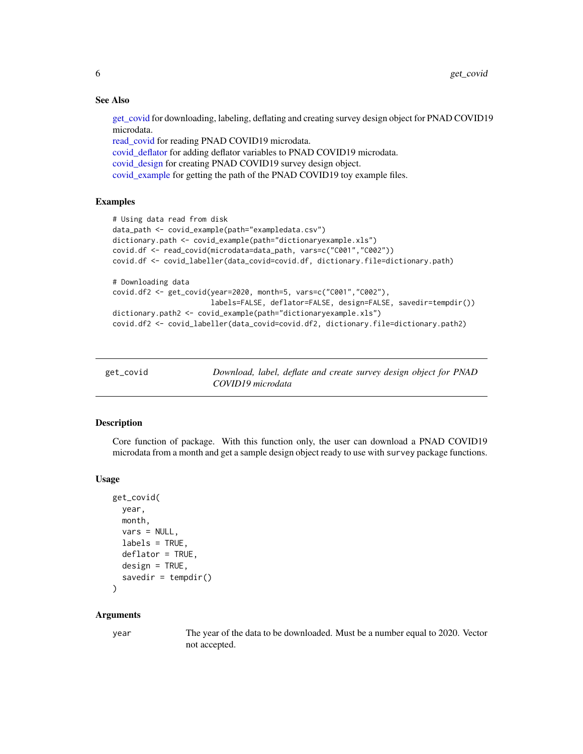#### See Also

[get\\_covid](#page-5-1) for downloading, labeling, deflating and creating survey design object for PNAD COVID19 microdata.

[read\\_covid](#page-7-1) for reading PNAD COVID19 microdata. [covid\\_deflator](#page-1-1) for adding deflator variables to PNAD COVID19 microdata. [covid\\_design](#page-2-1) for creating PNAD COVID19 survey design object. [covid\\_example](#page-3-1) for getting the path of the PNAD COVID19 toy example files.

#### Examples

```
# Using data read from disk
data_path <- covid_example(path="exampledata.csv")
dictionary.path <- covid_example(path="dictionaryexample.xls")
covid.df <- read_covid(microdata=data_path, vars=c("C001","C002"))
covid.df <- covid_labeller(data_covid=covid.df, dictionary.file=dictionary.path)
# Downloading data
covid.df2 <- get_covid(year=2020, month=5, vars=c("C001","C002"),
                       labels=FALSE, deflator=FALSE, design=FALSE, savedir=tempdir())
dictionary.path2 <- covid_example(path="dictionaryexample.xls")
covid.df2 <- covid_labeller(data_covid=covid.df2, dictionary.file=dictionary.path2)
```
<span id="page-5-1"></span>

| get_covid | Download, label, deflate and create survey design object for PNAD |
|-----------|-------------------------------------------------------------------|
|           | COVID19 microdata                                                 |

#### **Description**

Core function of package. With this function only, the user can download a PNAD COVID19 microdata from a month and get a sample design object ready to use with survey package functions.

#### Usage

```
get_covid(
 year,
 month,
 vars = NULL,
  labels = TRUE,
 deflator = TRUE,
 design = TRUE,savedir = tempdir())
```
# Arguments

year The year of the data to be downloaded. Must be a number equal to 2020. Vector not accepted.

<span id="page-5-0"></span>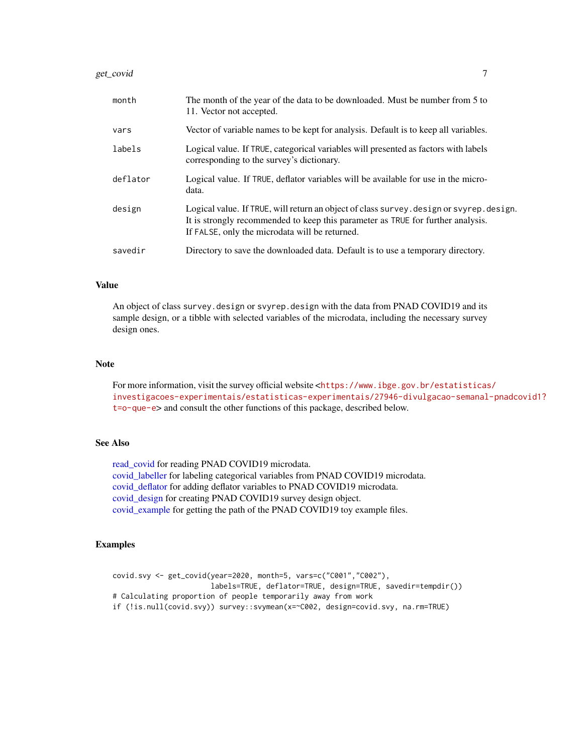#### <span id="page-6-0"></span>get\_covid 7

| month    | The month of the year of the data to be downloaded. Must be number from 5 to<br>11. Vector not accepted.                                                                                                                    |
|----------|-----------------------------------------------------------------------------------------------------------------------------------------------------------------------------------------------------------------------------|
| vars     | Vector of variable names to be kept for analysis. Default is to keep all variables.                                                                                                                                         |
| labels   | Logical value. If TRUE, categorical variables will presented as factors with labels<br>corresponding to the survey's dictionary.                                                                                            |
| deflator | Logical value. If TRUE, deflator variables will be available for use in the micro-<br>data.                                                                                                                                 |
| design   | Logical value. If TRUE, will return an object of class survey design or svyrep design.<br>It is strongly recommended to keep this parameter as TRUE for further analysis.<br>If FALSE, only the microdata will be returned. |
| savedir  | Directory to save the downloaded data. Default is to use a temporary directory.                                                                                                                                             |

#### Value

An object of class survey.design or svyrep.design with the data from PNAD COVID19 and its sample design, or a tibble with selected variables of the microdata, including the necessary survey design ones.

#### Note

For more information, visit the survey official website <[https://www.ibge.gov.br/estatisticas](https://www.ibge.gov.br/estatisticas/investigacoes-experimentais/estatisticas-experimentais/27946-divulgacao-semanal-pnadcovid1?t=o-que-e)/ [investigacoes-experimentais/estatisticas-experimentais/27946-divulgacao-semanal](https://www.ibge.gov.br/estatisticas/investigacoes-experimentais/estatisticas-experimentais/27946-divulgacao-semanal-pnadcovid1?t=o-que-e)-pnadcovid1? [t=o-que-e](https://www.ibge.gov.br/estatisticas/investigacoes-experimentais/estatisticas-experimentais/27946-divulgacao-semanal-pnadcovid1?t=o-que-e)> and consult the other functions of this package, described below.

#### See Also

[read\\_covid](#page-7-1) for reading PNAD COVID19 microdata. [covid\\_labeller](#page-4-1) for labeling categorical variables from PNAD COVID19 microdata. [covid\\_deflator](#page-1-1) for adding deflator variables to PNAD COVID19 microdata. [covid\\_design](#page-2-1) for creating PNAD COVID19 survey design object. [covid\\_example](#page-3-1) for getting the path of the PNAD COVID19 toy example files.

#### Examples

```
covid.svy <- get_covid(year=2020, month=5, vars=c("C001","C002"),
                       labels=TRUE, deflator=TRUE, design=TRUE, savedir=tempdir())
# Calculating proportion of people temporarily away from work
if (!is.null(covid.svy)) survey::svymean(x=~C002, design=covid.svy, na.rm=TRUE)
```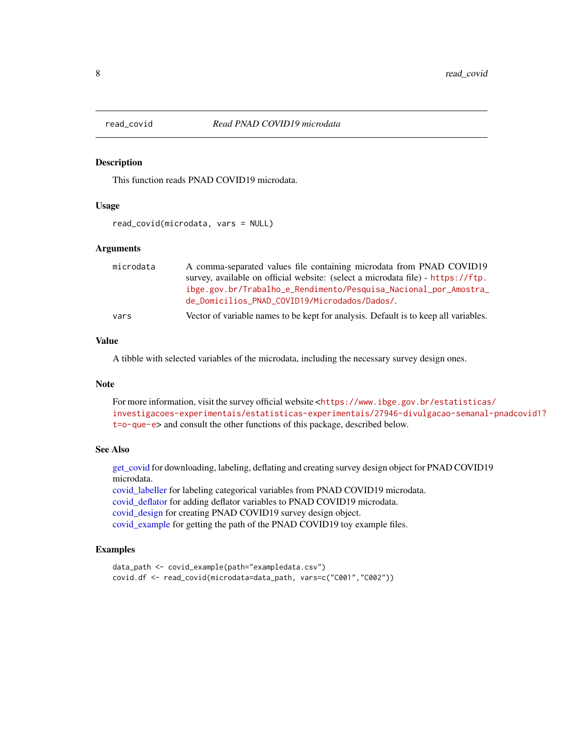<span id="page-7-1"></span><span id="page-7-0"></span>

#### Description

This function reads PNAD COVID19 microdata.

#### Usage

read\_covid(microdata, vars = NULL)

#### Arguments

| microdata | A comma-separated values file containing microdata from PNAD COVID19                |
|-----------|-------------------------------------------------------------------------------------|
|           | survey, available on official website: (select a microdata file) - https://ftp.     |
|           | ibge.gov.br/Trabalho_e_Rendimento/Pesquisa_Nacional_por_Amostra_                    |
|           | de_Domicilios_PNAD_COVID19/Microdados/Dados/.                                       |
| vars      | Vector of variable names to be kept for analysis. Default is to keep all variables. |

#### Value

A tibble with selected variables of the microdata, including the necessary survey design ones.

#### Note

For more information, visit the survey official website <[https://www.ibge.gov.br/estatisticas](https://www.ibge.gov.br/estatisticas/investigacoes-experimentais/estatisticas-experimentais/27946-divulgacao-semanal-pnadcovid1?t=o-que-e)/ [investigacoes-experimentais/estatisticas-experimentais/27946-divulgacao-semanal](https://www.ibge.gov.br/estatisticas/investigacoes-experimentais/estatisticas-experimentais/27946-divulgacao-semanal-pnadcovid1?t=o-que-e)-pnadcovid1? [t=o-que-e](https://www.ibge.gov.br/estatisticas/investigacoes-experimentais/estatisticas-experimentais/27946-divulgacao-semanal-pnadcovid1?t=o-que-e)> and consult the other functions of this package, described below.

#### See Also

[get\\_covid](#page-5-1) for downloading, labeling, deflating and creating survey design object for PNAD COVID19 microdata.

[covid\\_labeller](#page-4-1) for labeling categorical variables from PNAD COVID19 microdata. [covid\\_deflator](#page-1-1) for adding deflator variables to PNAD COVID19 microdata.

[covid\\_design](#page-2-1) for creating PNAD COVID19 survey design object.

[covid\\_example](#page-3-1) for getting the path of the PNAD COVID19 toy example files.

### Examples

```
data_path <- covid_example(path="exampledata.csv")
covid.df <- read_covid(microdata=data_path, vars=c("C001","C002"))
```